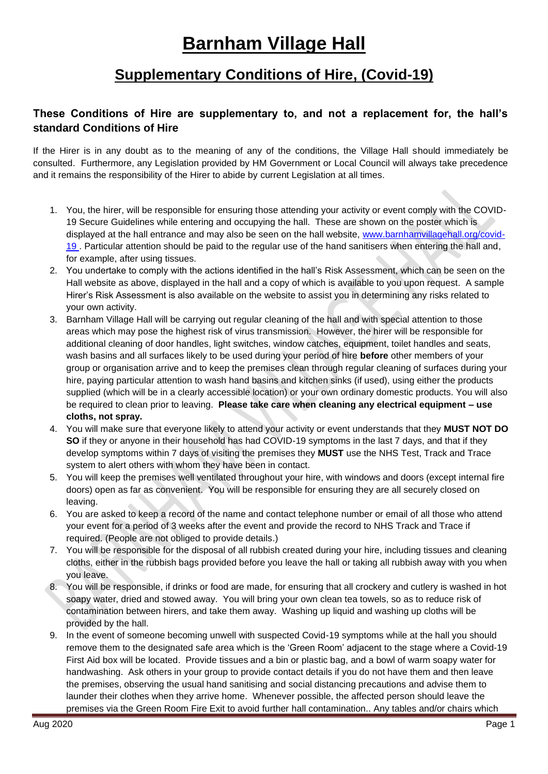## **Barnham Village Hall**

## **Supplementary Conditions of Hire, (Covid-19)**

## **These Conditions of Hire are supplementary to, and not a replacement for, the hall's standard Conditions of Hire**

If the Hirer is in any doubt as to the meaning of any of the conditions, the Village Hall should immediately be consulted. Furthermore, any Legislation provided by HM Government or Local Council will always take precedence and it remains the responsibility of the Hirer to abide by current Legislation at all times.

- 1. You, the hirer, will be responsible for ensuring those attending your activity or event comply with the COVID-19 Secure Guidelines while entering and occupying the hall. These are shown on the poster which is displayed at the hall entrance and may also be seen on the hall website, [www.barnhamvillagehall.org/covid-](http://www.barnhamvillagehall.org/covid-19)[19](http://www.barnhamvillagehall.org/covid-19) . Particular attention should be paid to the regular use of the hand sanitisers when entering the hall and, for example, after using tissues.
- 2. You undertake to comply with the actions identified in the hall's Risk Assessment, which can be seen on the Hall website as above, displayed in the hall and a copy of which is available to you upon request. A sample Hirer's Risk Assessment is also available on the website to assist you in determining any risks related to your own activity.
- 3. Barnham Village Hall will be carrying out regular cleaning of the hall and with special attention to those areas which may pose the highest risk of virus transmission. However, the hirer will be responsible for additional cleaning of door handles, light switches, window catches, equipment, toilet handles and seats, wash basins and all surfaces likely to be used during your period of hire **before** other members of your group or organisation arrive and to keep the premises clean through regular cleaning of surfaces during your hire, paying particular attention to wash hand basins and kitchen sinks (if used), using either the products supplied (which will be in a clearly accessible location) or your own ordinary domestic products. You will also be required to clean prior to leaving. **Please take care when cleaning any electrical equipment – use cloths, not spray.**
- 4. You will make sure that everyone likely to attend your activity or event understands that they **MUST NOT DO SO** if they or anyone in their household has had COVID-19 symptoms in the last 7 days, and that if they develop symptoms within 7 days of visiting the premises they **MUST** use the NHS Test, Track and Trace system to alert others with whom they have been in contact.
- 5. You will keep the premises well ventilated throughout your hire, with windows and doors (except internal fire doors) open as far as convenient. You will be responsible for ensuring they are all securely closed on leaving.
- 6. You are asked to keep a record of the name and contact telephone number or email of all those who attend your event for a period of 3 weeks after the event and provide the record to NHS Track and Trace if required. (People are not obliged to provide details.)
- 7. You will be responsible for the disposal of all rubbish created during your hire, including tissues and cleaning cloths, either in the rubbish bags provided before you leave the hall or taking all rubbish away with you when you leave.
- 8. You will be responsible, if drinks or food are made, for ensuring that all crockery and cutlery is washed in hot soapy water, dried and stowed away. You will bring your own clean tea towels, so as to reduce risk of contamination between hirers, and take them away. Washing up liquid and washing up cloths will be provided by the hall.
- 9. In the event of someone becoming unwell with suspected Covid-19 symptoms while at the hall you should remove them to the designated safe area which is the 'Green Room' adjacent to the stage where a Covid-19 First Aid box will be located. Provide tissues and a bin or plastic bag, and a bowl of warm soapy water for handwashing. Ask others in your group to provide contact details if you do not have them and then leave the premises, observing the usual hand sanitising and social distancing precautions and advise them to launder their clothes when they arrive home. Whenever possible, the affected person should leave the premises via the Green Room Fire Exit to avoid further hall contamination.. Any tables and/or chairs which